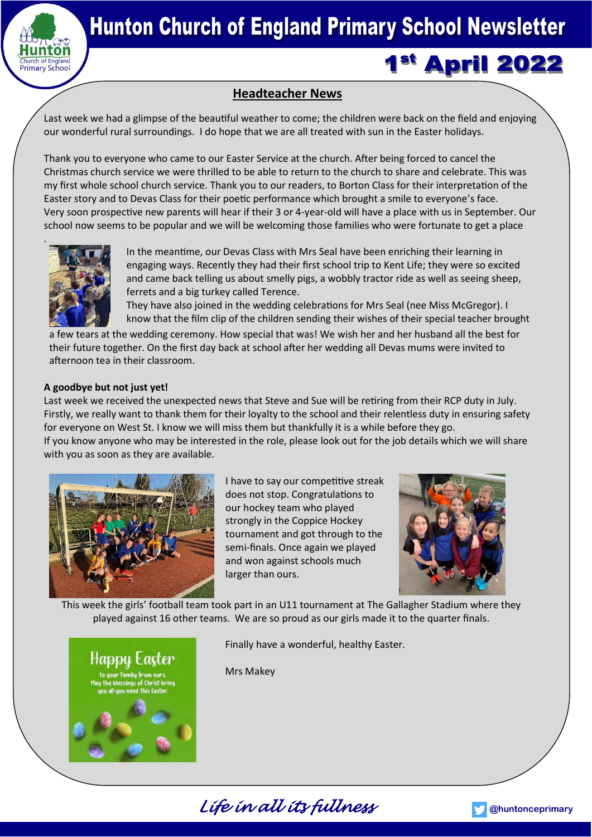

# 1<sup>st</sup> April 2022

## **Headteacher News**

Last week we had a glimpse of the beautiful weather to come; the children were back on the field and enjoying our wonderful rural surroundings. I do hope that we are all treated with sun in the Easter holidays.

Thank you to everyone who came to our Easter Service at the church. After being forced to cancel the Christmas church service we were thrilled to be able to return to the church to share and celebrate. This was my first whole school church service. Thank you to our readers, to Borton Class for their interpretation of the Easter story and to Devas Class for their poetic performance which brought a smile to everyone's face. Very soon prospective new parents will hear if their 3 or 4-year-old will have a place with us in September. Our school now seems to be popular and we will be welcoming those families who were fortunate to get a place



In the meantime, our Devas Class with Mrs Seal have been enriching their learning in engaging ways. Recently they had their first school trip to Kent Life; they were so excited and came back telling us about smelly pigs, a wobbly tractor ride as well as seeing sheep, ferrets and a big turkey called Terence.

They have also joined in the wedding celebrations for Mrs Seal (nee Miss McGregor). I know that the film clip of the children sending their wishes of their special teacher brought

a few tears at the wedding ceremony. How special that was! We wish her and her husband all the best for their future together. On the first day back at school after her wedding all Devas mums were invited to afternoon tea in their classroom.

## **A goodbye but not just yet!**

Last week we received the unexpected news that Steve and Sue will be retiring from their RCP duty in July. Firstly, we really want to thank them for their loyalty to the school and their relentless duty in ensuring safety for everyone on West St. I know we will miss them but thankfully it is a while before they go. If you know anyone who may be interested in the role, please look out for the job details which we will share

with you as soon as they are available.



I have to say our competitive streak does not stop. Congratulations to our hockey team who played strongly in the Coppice Hockey tournament and got through to the semi-finals. Once again we played and won against schools much larger than ours.



This week the girls' football team took part in an U11 tournament at The Gallagher Stadium where they played against 16 other teams. We are so proud as our girls made it to the quarter finals.



Finally have a wonderful, healthy Easter.

Mrs Makey



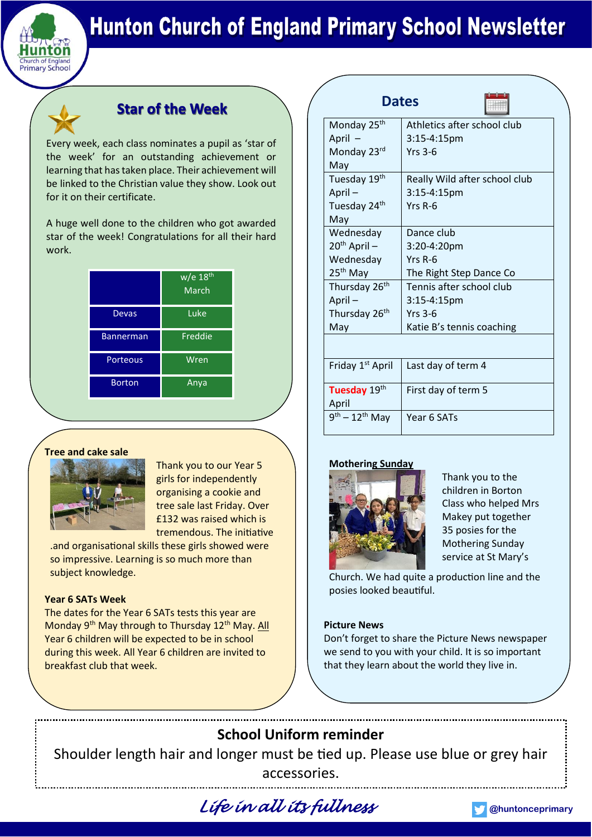

# **Hunton Church of England Primary School Newsletter**

## **Star of the Week**

Every week, each class nominates a pupil as 'star of the week' for an outstanding achievement or learning that has taken place. Their achievement will be linked to the Christian value they show. Look out for it on their certificate.

A huge well done to the children who got awarded star of the week! Congratulations for all their hard work.

|                  | $\overline{w}/e$ 18 <sup>th</sup><br>March |
|------------------|--------------------------------------------|
| Devas            | <u>iLuke</u>                               |
| <b>Bannerman</b> | Freddie                                    |
| Porteous         | Wren                                       |
| <b>Borton</b>    | Anya                                       |

## **Tree and cake sale**



Thank you to our Year 5 girls for independently organising a cookie and tree sale last Friday. Over £132 was raised which is tremendous. The initiative

.and organisational skills these girls showed were so impressive. Learning is so much more than subject knowledge.

## **Year 6 SATs Week**

The dates for the Year 6 SATs tests this year are Monday 9<sup>th</sup> May through to Thursday 12<sup>th</sup> May. All Year 6 children will be expected to be in school during this week. All Year 6 children are invited to breakfast club that week.

| <b>Dates</b>                                    |                               |
|-------------------------------------------------|-------------------------------|
| Monday 25 <sup>th</sup>                         | Athletics after school club   |
| April -                                         | $3:15-4:15$ pm                |
| Monday 23rd                                     | $Yrs$ 3-6                     |
| May                                             |                               |
| Tuesday 19th                                    | Really Wild after school club |
| April-                                          | 3:15-4:15pm                   |
| Tuesday 24 <sup>th</sup>                        | Yrs R-6                       |
| May                                             |                               |
| Wednesday                                       | Dance club                    |
| $20th$ April –                                  | 3:20-4:20pm                   |
| Wednesday                                       | Yrs R-6                       |
| $25th$ May                                      | The Right Step Dance Co       |
| Thursday 26 <sup>th</sup>                       | Tennis after school club      |
| April-                                          | $3:15-4:15$ pm                |
| Thursday 26 <sup>th</sup>                       | $Yrs$ 3-6                     |
| May                                             | Katie B's tennis coaching     |
|                                                 |                               |
| Friday 1 <sup>st</sup> April                    | Last day of term 4            |
| Tuesday 19th<br>April                           | First day of term 5           |
| $\overline{9}^{\text{th}} - 12^{\text{th}}$ May | Year 6 SATs                   |

## **Mothering Sunday**



Thank you to the children in Borton Class who helped Mrs Makey put together 35 posies for the Mothering Sunday service at St Mary's

Church. We had quite a production line and the posies looked beautiful.

## **Picture News**

Don't forget to share the Picture News newspaper we send to you with your child. It is so important that they learn about the world they live in.

# **School Uniform reminder** Shoulder length hair and longer must be tied up. Please use blue or grey hair accessories.

*Life in all its fullness* **[@huntonceprimary](https://twitter.com/HuntonCEPrimary)**

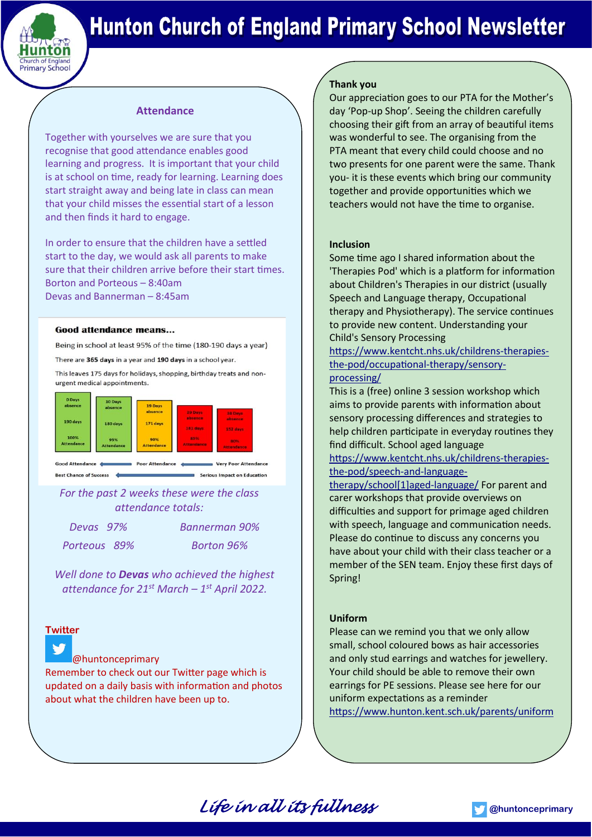

# **Hunton Church of England Primary School Newsletter**

## **Attendance**

Together with yourselves we are sure that you recognise that good attendance enables good learning and progress. It is important that your child is at school on time, ready for learning. Learning does start straight away and being late in class can mean that your child misses the essential start of a lesson and then finds it hard to engage.

In order to ensure that the children have a settled start to the day, we would ask all parents to make sure that their children arrive before their start times. Borton and Porteous – 8:40am Devas and Bannerman – 8:45am

#### **Good attendance means...**

Being in school at least 95% of the time (180-190 days a year)

There are 365 days in a year and 190 days in a school year.

This leaves 175 days for holidays, shopping, birthday treats and nonurgent medical appointments.



Best Chance of Success Serious Impact on Education

*For the past 2 weeks these were the class attendance totals:*

*Porteous 89% Borton 96%*

*Devas 97% Bannerman 90%*

*Well done to Devas who achieved the highest attendance for 21st March – 1 st April 2022.*

## **Twitter**

## [@huntonceprimary](https://twitter.com/HuntonCEPrimary)

Remember to check out our Twitter page which is updated on a daily basis with information and photos about what the children have been up to.

## **Thank you**

Our appreciation goes to our PTA for the Mother's day 'Pop-up Shop'. Seeing the children carefully choosing their gift from an array of beautiful items was wonderful to see. The organising from the PTA meant that every child could choose and no two presents for one parent were the same. Thank you- it is these events which bring our community together and provide opportunities which we teachers would not have the time to organise.

### **Inclusion**

Some time ago I shared information about the 'Therapies Pod' which is a platform for information about Children's Therapies in our district (usually Speech and Language therapy, Occupational therapy and Physiotherapy). The service continues to provide new content. Understanding your Child's Sensory Processing

[https://www.kentcht.nhs.uk/childrens-therapies](https://www.kentcht.nhs.uk/childrens-therapies-the-pod/occupational-therapy/sensory-processing/)[the-pod/occupational-therapy/sensory](https://www.kentcht.nhs.uk/childrens-therapies-the-pod/occupational-therapy/sensory-processing/)[processing/](https://www.kentcht.nhs.uk/childrens-therapies-the-pod/occupational-therapy/sensory-processing/)

This is a (free) online 3 session workshop which aims to provide parents with information about sensory processing differences and strategies to help children participate in everyday routines they find difficult. School aged language

[https://www.kentcht.nhs.uk/childrens-therapies](https://www.kentcht.nhs.uk/childrens-therapies-the-pod/speech-and-language-therapy/school%5b1%5daged-language/)[the-pod/speech-and-language-](https://www.kentcht.nhs.uk/childrens-therapies-the-pod/speech-and-language-therapy/school%5b1%5daged-language/)

[therapy/school\[1\]aged-language/](https://www.kentcht.nhs.uk/childrens-therapies-the-pod/speech-and-language-therapy/school%5b1%5daged-language/) For parent and carer workshops that provide overviews on difficulties and support for primage aged children with speech, language and communication needs. Please do continue to discuss any concerns you have about your child with their class teacher or a member of the SEN team. Enjoy these first days of Spring!

## **Uniform**

Please can we remind you that we only allow small, school coloured bows as hair accessories and only stud earrings and watches for jewellery. Your child should be able to remove their own earrings for PE sessions. Please see here for our uniform expectations as a reminder <https://www.hunton.kent.sch.uk/parents/uniform>

*Life in all its fullness* **[@huntonceprimary](https://twitter.com/HuntonCEPrimary)**